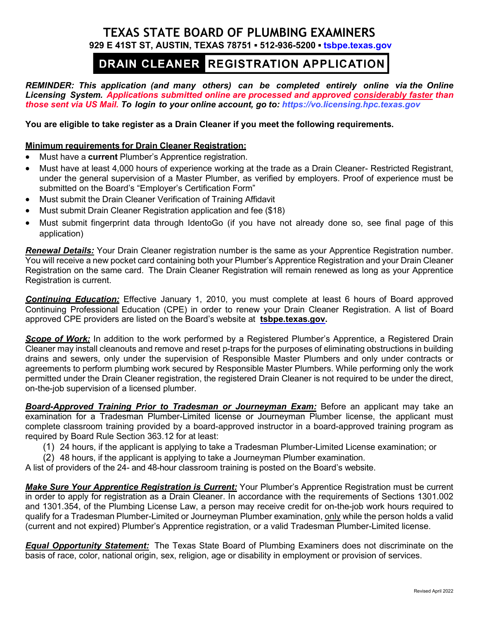### **TEXAS STATE BOARD OF PLUMBING EXAMINERS 929 E 41ST ST, AUSTIN, TEXAS 78751 ▪ 512-936-5200 ▪ [tsbpe.texas.gov](http://www.tsbpe.texas.gov/)**

# DRAIN CLEANER REGISTRATION APPLICATION

*REMINDER: This application (and many others) can be completed entirely online via the Online Licensing System. Applications submitted online are processed and approved considerably faster than those sent via US Mail. To login to your online account, go to: [https://vo.licensing.hpc.texas.gov](https://vo.licensing.hpc.texas.gov/)*

**You are eligible to take register as a Drain Cleaner if you meet the following requirements.**

#### **Minimum requirements for Drain Cleaner Registration:**

- Must have a **current** Plumber's Apprentice registration.
- Must have at least 4,000 hours of experience working at the trade as a Drain Cleaner- Restricted Registrant, under the general supervision of a Master Plumber, as verified by employers. Proof of experience must be submitted on the Board's "Employer's Certification Form"
- Must submit the Drain Cleaner Verification of Training Affidavit
- Must submit Drain Cleaner Registration application and fee (\$18)
- Must submit fingerprint data through IdentoGo (if you have not already done so, see final page of this application)

*Renewal Details:* Your Drain Cleaner registration number is the same as your Apprentice Registration number. You will receive a new pocket card containing both your Plumber's Apprentice Registration and your Drain Cleaner Registration on the same card. The Drain Cleaner Registration will remain renewed as long as your Apprentice Registration is current.

*Continuing Education:* Effective January 1, 2010, you must complete at least 6 hours of Board approved Continuing Professional Education (CPE) in order to renew your Drain Cleaner Registration. A list of Board approved CPE providers are listed on the Board's website at **[tsbpe.texas.gov.](http://www.tsbpe.state.tx.us/)**

**Scope of Work:** In addition to the work performed by a Registered Plumber's Apprentice, a Registered Drain Cleaner may install cleanouts and remove and reset p-traps for the purposes of eliminating obstructions in building drains and sewers, only under the supervision of Responsible Master Plumbers and only under contracts or agreements to perform plumbing work secured by Responsible Master Plumbers. While performing only the work permitted under the Drain Cleaner registration, the registered Drain Cleaner is not required to be under the direct, on-the-job supervision of a licensed plumber.

*Board-Approved Training Prior to Tradesman or Journeyman Exam:* Before an applicant may take an examination for a Tradesman Plumber-Limited license or Journeyman Plumber license, the applicant must complete classroom training provided by a board-approved instructor in a board-approved training program as required by Board Rule Section 363.12 for at least:

(1) 24 hours, if the applicant is applying to take a Tradesman Plumber-Limited License examination; or

(2) 48 hours, if the applicant is applying to take a Journeyman Plumber examination.

A list of providers of the 24- and 48-hour classroom training is posted on the Board's website.

*Make Sure Your Apprentice Registration is Current:* Your Plumber's Apprentice Registration must be current in order to apply for registration as a Drain Cleaner. In accordance with the requirements of Sections 1301.002 and 1301.354, of the Plumbing License Law, a person may receive credit for on-the-job work hours required to qualify for a Tradesman Plumber-Limited or Journeyman Plumber examination, only while the person holds a valid (current and not expired) Plumber's Apprentice registration, or a valid Tradesman Plumber-Limited license.

*Equal Opportunity Statement:* The Texas State Board of Plumbing Examiners does not discriminate on the basis of race, color, national origin, sex, religion, age or disability in employment or provision of services.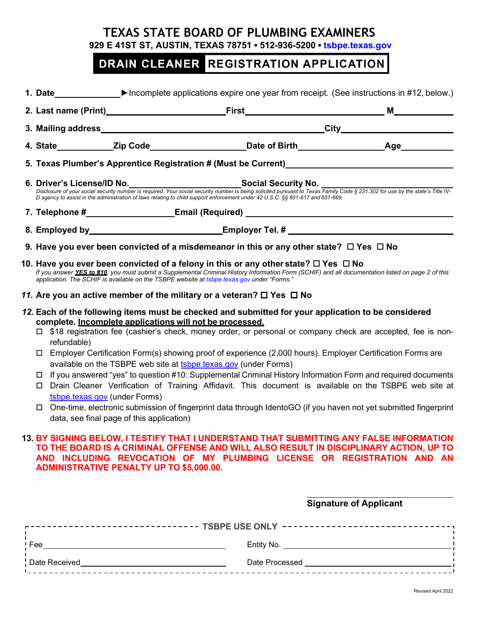## **TEXAS STATE BOARD OF PLUMBING EXAMINERS**

**929 E 41ST ST, AUSTIN, TEXAS 78751 ▪ 512-936-5200 ▪ [tsbpe.texas.gov](http://www.tsbpe.texas.gov/)**

# DRAIN CLEANER REGISTRATION APPLICATION

|                                                                                                                   |                                                                                                                                                                                                                                                                                                                                                                                                                                                                                                                                                                                                                                                                                                                                                                                                                                                                                                                                                                                                                                                                                                                                  | 6. Driver's License/ID No.<br>-Visclosure of your social security number is required. Your social security number is being solicited pursuant to Texas Family Code § 231.302 for use by the state's Title IV- |  |  |  |
|-------------------------------------------------------------------------------------------------------------------|----------------------------------------------------------------------------------------------------------------------------------------------------------------------------------------------------------------------------------------------------------------------------------------------------------------------------------------------------------------------------------------------------------------------------------------------------------------------------------------------------------------------------------------------------------------------------------------------------------------------------------------------------------------------------------------------------------------------------------------------------------------------------------------------------------------------------------------------------------------------------------------------------------------------------------------------------------------------------------------------------------------------------------------------------------------------------------------------------------------------------------|---------------------------------------------------------------------------------------------------------------------------------------------------------------------------------------------------------------|--|--|--|
|                                                                                                                   |                                                                                                                                                                                                                                                                                                                                                                                                                                                                                                                                                                                                                                                                                                                                                                                                                                                                                                                                                                                                                                                                                                                                  | D agency to assist in the administration of laws relating to child support enforcement under 42 U.S.C. §§ 601-617 and 651-669.                                                                                |  |  |  |
|                                                                                                                   |                                                                                                                                                                                                                                                                                                                                                                                                                                                                                                                                                                                                                                                                                                                                                                                                                                                                                                                                                                                                                                                                                                                                  |                                                                                                                                                                                                               |  |  |  |
|                                                                                                                   |                                                                                                                                                                                                                                                                                                                                                                                                                                                                                                                                                                                                                                                                                                                                                                                                                                                                                                                                                                                                                                                                                                                                  | 8. Employed by____________________________Employer Tel. # ______________________                                                                                                                              |  |  |  |
|                                                                                                                   | 9. Have you ever been convicted of a misdemeanor in this or any other state? $\Box$ Yes $\Box$ No                                                                                                                                                                                                                                                                                                                                                                                                                                                                                                                                                                                                                                                                                                                                                                                                                                                                                                                                                                                                                                |                                                                                                                                                                                                               |  |  |  |
|                                                                                                                   | 10. Have you ever been convicted of a felony in this or any other state? $\Box$ Yes $\ \Box$ No<br>If you answer YES to #10, you must submit a Supplemental Criminal History Information Form (SCHIF) and all documentation listed on page 2 of this<br>application. The SCHIF is available on the TSBPE website at tsbpe texas gov under "Forms."                                                                                                                                                                                                                                                                                                                                                                                                                                                                                                                                                                                                                                                                                                                                                                               |                                                                                                                                                                                                               |  |  |  |
|                                                                                                                   | 11. Are you an active member of the military or a veteran? $\Box$ Yes $\Box$ No                                                                                                                                                                                                                                                                                                                                                                                                                                                                                                                                                                                                                                                                                                                                                                                                                                                                                                                                                                                                                                                  |                                                                                                                                                                                                               |  |  |  |
|                                                                                                                   | complete. Incomplete applications will not be processed.<br>□ \$18 registration fee (cashier's check, money order, or personal or company check are accepted, fee is non-<br>refundable)<br>Employer Certification Form(s) showing proof of experience (2,000 hours). Employer Certification Forms are<br>available on the TSBPE web site at tsbpe.texas.gov (under Forms)<br>If you answered "yes" to question #10: Supplemental Criminal History Information Form and required documents<br>Drain Cleaner Verification of Training Affidavit. This document is available on the TSBPE web site at<br>$\Box$<br>tsbpe.texas.gov (under Forms)<br>One-time, electronic submission of fingerprint data through IdentoGO (if you haven not yet submitted fingerprint<br>data, see final page of this application)<br>13. BY SIGNING BELOW, I TESTIFY THAT I UNDERSTAND THAT SUBMITTING ANY FALSE INFORMATION<br>TO THE BOARD IS A CRIMINAL OFFENSE AND WILL ALSO RESULT IN DISCIPLINARY ACTION, UP TO<br>AND INCLUDING REVOCATION OF MY PLUMBING LICENSE OR REGISTRATION AND AN<br><b>ADMINISTRATIVE PENALTY UP TO \$5,000.00.</b> |                                                                                                                                                                                                               |  |  |  |
| <b>Signature of Applicant</b><br>------------------------------ TSBPE USE ONLY ---------------------------------, |                                                                                                                                                                                                                                                                                                                                                                                                                                                                                                                                                                                                                                                                                                                                                                                                                                                                                                                                                                                                                                                                                                                                  |                                                                                                                                                                                                               |  |  |  |
|                                                                                                                   |                                                                                                                                                                                                                                                                                                                                                                                                                                                                                                                                                                                                                                                                                                                                                                                                                                                                                                                                                                                                                                                                                                                                  |                                                                                                                                                                                                               |  |  |  |
|                                                                                                                   |                                                                                                                                                                                                                                                                                                                                                                                                                                                                                                                                                                                                                                                                                                                                                                                                                                                                                                                                                                                                                                                                                                                                  |                                                                                                                                                                                                               |  |  |  |